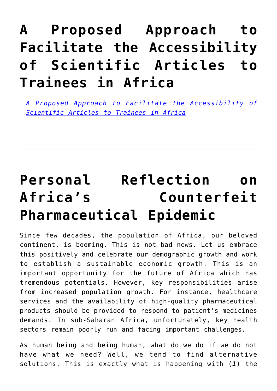### **[A Proposed Approach to](https://adsf.club/?p=579) [Facilitate the Accessibility](https://adsf.club/?p=579) [of Scientific Articles to](https://adsf.club/?p=579) [Trainees in Africa](https://adsf.club/?p=579)**

*[A Proposed Approach to Facilitate the Accessibility of](https://yoursay.plos.org/2021/09/a-win-win-model-to-facilitate-journal-access-to-trainees-in-africa-through-worldwide-institutional-partnerships/) [Scientific Articles to Trainees in Africa](https://yoursay.plos.org/2021/09/a-win-win-model-to-facilitate-journal-access-to-trainees-in-africa-through-worldwide-institutional-partnerships/)*

### **[Personal Reflection on](https://adsf.club/?p=526) [Africa's Counterfeit](https://adsf.club/?p=526) [Pharmaceutical Epidemic](https://adsf.club/?p=526)**

Since few decades, the population of Africa, our beloved continent, is booming. This is not bad news. Let us embrace this positively and celebrate our demographic growth and work to establish a sustainable economic growth. This is an important opportunity for the future of Africa which has tremendous potentials. However, key responsibilities arise from increased population growth. For instance, healthcare services and the availability of high-quality pharmaceutical products should be provided to respond to patient's medicines demands. In sub-Saharan Africa, unfortunately, key health sectors remain poorly run and facing important challenges.

As human being and being human, what do we do if we do not have what we need? Well, we tend to find alternative solutions. This is exactly what is happening with (*1*) the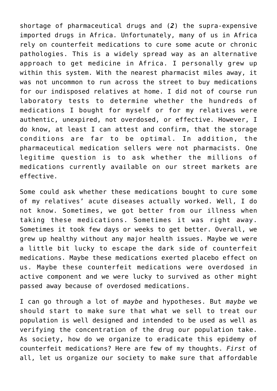shortage of pharmaceutical drugs and (*2*) the supra-expensive imported drugs in Africa. Unfortunately, many of us in Africa rely on counterfeit medications to cure some acute or chronic pathologies. This is a widely spread way as an alternative approach to get medicine in Africa. I personally grew up within this system. With the nearest pharmacist miles away, it was not uncommon to run across the street to buy medications for our indisposed relatives at home. I did not of course run laboratory tests to determine whether the hundreds of medications I bought for myself or for my relatives were authentic, unexpired, not overdosed, or effective. However, I do know, at least I can attest and confirm, that the storage conditions are far to be optimal. In addition, the pharmaceutical medication sellers were not pharmacists. One legitime question is to ask whether the millions of medications currently available on our street markets are effective.

Some could ask whether these medications bought to cure some of my relatives' acute diseases actually worked. Well, I do not know. Sometimes, we got better from our illness when taking these medications. Sometimes it was right away. Sometimes it took few days or weeks to get better. Overall, we grew up healthy without any major health issues. Maybe we were a little bit lucky to escape the dark side of counterfeit medications. Maybe these medications exerted placebo effect on us. Maybe these counterfeit medications were overdosed in active component and we were lucky to survived as other might passed away because of overdosed medications.

I can go through a lot of *maybe* and hypotheses. But *maybe* we should start to make sure that what we sell to treat our population is well designed and intended to be used as well as verifying the concentration of the drug our population take. As society, how do we organize to eradicate this epidemy of counterfeit medications? Here are few of my thoughts. *First* of all, let us organize our society to make sure that affordable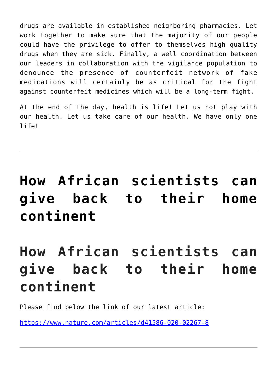drugs are available in established neighboring pharmacies. Let work together to make sure that the majority of our people could have the privilege to offer to themselves high quality drugs when they are sick. Finally, a well coordination between our leaders in collaboration with the vigilance population to denounce the presence of counterfeit network of fake medications will certainly be as critical for the fight against counterfeit medicines which will be a long-term fight.

At the end of the day, health is life! Let us not play with our health. Let us take care of our health. We have only one life!

# **[How African scientists can](https://adsf.club/?p=349) [give back to their home](https://adsf.club/?p=349) [continent](https://adsf.club/?p=349)**

## **How African scientists can give back to their home continent**

Please find below the link of our latest article:

<https://www.nature.com/articles/d41586-020-02267-8>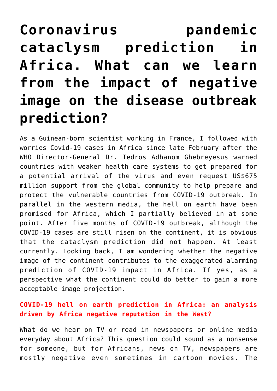## **[Coronavirus pandemic](https://adsf.club/?p=339) [cataclysm prediction in](https://adsf.club/?p=339) [Africa. What can we learn](https://adsf.club/?p=339) [from the impact of negative](https://adsf.club/?p=339) [image on the disease outbreak](https://adsf.club/?p=339) [prediction?](https://adsf.club/?p=339)**

As a Guinean-born scientist working in France, I followed with worries Covid-19 cases in Africa since late February after the WHO Director-General Dr. Tedros Adhanom Ghebreyesus warned countries with weaker health care systems to get prepared for a potential arrival of the virus and even request US\$675 million support from the global community to help prepare and protect the vulnerable countries from COVID-19 outbreak. In parallel in the western media, the hell on earth have been promised for Africa, which I partially believed in at some point. After five months of COVID-19 outbreak, although the COVID-19 cases are still risen on the continent, it is obvious that the cataclysm prediction did not happen. At least currently. Looking back, I am wondering whether the negative image of the continent contributes to the exaggerated alarming prediction of COVID-19 impact in Africa. If yes, as a perspective what the continent could do better to gain a more acceptable image projection.

### **COVID-19 hell on earth prediction in Africa: an analysis driven by Africa negative reputation in the West?**

What do we hear on TV or read in newspapers or online media everyday about Africa? This question could sound as a nonsense for someone, but for Africans, news on TV, newspapers are mostly negative even sometimes in cartoon movies. The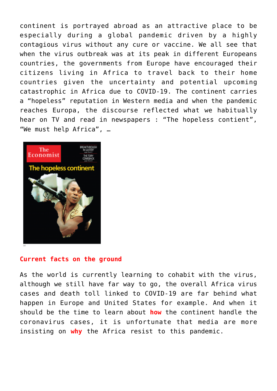continent is portrayed abroad as an attractive place to be especially during a global pandemic driven by a highly contagious virus without any cure or vaccine. We all see that when the virus outbreak was at its peak in different Europeans countries, the governments from Europe have encouraged their citizens living in Africa to travel back to their home countries given the uncertainty and potential upcoming catastrophic in Africa due to COVID-19. The continent carries a "hopeless" reputation in Western media and when the pandemic reaches Europa, the discourse reflected what we habitually hear on TV and read in newspapers : "The hopeless contient", "We must help Africa", …



#### **Current facts on the ground**

As the world is currently learning to cohabit with the virus, although we still have far way to go, the overall Africa virus cases and death toll linked to COVID-19 are far behind what happen in Europe and United States for example. And when it should be the time to learn about **how** the continent handle the coronavirus cases, it is unfortunate that media are more insisting on **why** the Africa resist to this pandemic.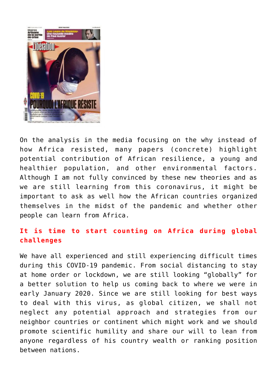

On the analysis in the media focusing on the why instead of how Africa resisted, many papers (concrete) highlight potential contribution of African resilience, a young and healthier population, and other environmental factors. Although I am not fully convinced by these new theories and as we are still learning from this coronavirus, it might be important to ask as well how the African countries organized themselves in the midst of the pandemic and whether other people can learn from Africa.

### **It is time to start counting on Africa during global challenges**

We have all experienced and still experiencing difficult times during this COVID-19 pandemic. From social distancing to stay at home order or lockdown, we are still looking "globally" for a better solution to help us coming back to where we were in early January 2020. Since we are still looking for best ways to deal with this virus, as global citizen, we shall not neglect any potential approach and strategies from our neighbor countries or continent which might work and we should promote scientific humility and share our will to lean from anyone regardless of his country wealth or ranking position between nations.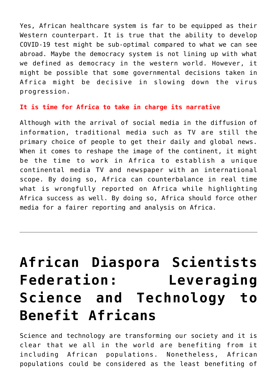Yes, African healthcare system is far to be equipped as their Western counterpart. It is true that the ability to develop COVID-19 test might be sub-optimal compared to what we can see abroad. Maybe the democracy system is not lining up with what we defined as democracy in the western world. However, it might be possible that some governmental decisions taken in Africa might be decisive in slowing down the virus progression.

#### **It is time for Africa to take in charge its narrative**

Although with the arrival of social media in the diffusion of information, traditional media such as TV are still the primary choice of people to get their daily and global news. When it comes to reshape the image of the continent, it might be the time to work in Africa to establish a unique continental media TV and newspaper with an international scope. By doing so, Africa can counterbalance in real time what is wrongfully reported on Africa while highlighting Africa success as well. By doing so, Africa should force other media for a fairer reporting and analysis on Africa.

## **[African Diaspora Scientists](https://adsf.club/?p=292) [Federation: Leveraging](https://adsf.club/?p=292) [Science and Technology to](https://adsf.club/?p=292) [Benefit Africans](https://adsf.club/?p=292)**

Science and technology are transforming our society and it is clear that we all in the world are benefiting from it including African populations. Nonetheless, African populations could be considered as the least benefiting of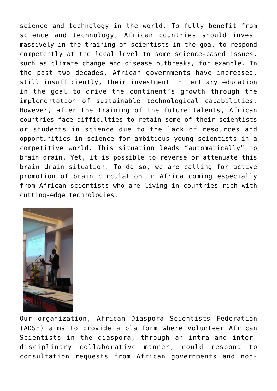science and technology in the world. To fully benefit from science and technology, African countries should invest massively in the training of scientists in the goal to respond competently at the local level to some science-based issues, such as climate change and disease outbreaks, for example. In the past two decades, African governments have increased, still insufficiently, their investment in tertiary education in the goal to drive the continent's growth through the implementation of sustainable technological capabilities. However, after the training of the future talents, African countries face difficulties to retain some of their scientists or students in science due to the lack of resources and opportunities in science for ambitious young scientists in a competitive world. This situation leads "automatically" to brain drain. Yet, it is possible to reverse or attenuate this brain drain situation. To do so, we are calling for active promotion of brain circulation in Africa coming especially from African scientists who are living in countries rich with cutting-edge technologies.



Our organization, African Diaspora Scientists Federation (ADSF) aims to provide a platform where volunteer African Scientists in the diaspora, through an intra and interdisciplinary collaborative manner, could respond to consultation requests from African governments and non-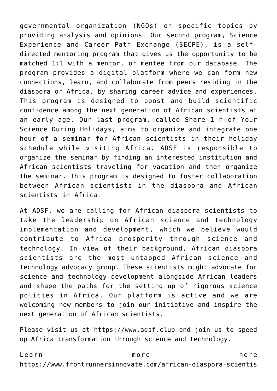governmental organization (NGOs) on specific topics by providing analysis and opinions. Our second program, Science Experience and Career Path Exchange (SECPE), is a selfdirected mentoring program that gives us the opportunity to be matched 1:1 with a mentor, or mentee from our database. The program provides a digital platform where we can form new connections, learn, and collaborate from peers residing in the diaspora or Africa, by sharing career advice and experiences. This program is designed to boost and build scientific confidence among the next generation of African scientists at an early age. Our last program, called Share 1 h of Your Science During Holidays, aims to organize and integrate one hour of a seminar for African scientists in their holiday schedule while visiting Africa. ADSF is responsible to organize the seminar by finding an interested institution and African scientists traveling for vacation and then organize the seminar. This program is designed to foster collaboration between African scientists in the diaspora and African scientists in Africa.

At ADSF, we are calling for African diaspora scientists to take the leadership on African science and technology implementation and development, which we believe would contribute to Africa prosperity through science and technology. In view of their background, African diaspora scientists are the most untapped African science and technology advocacy group. These scientists might advocate for science and technology development alongside African leaders and shape the paths for the setting up of rigorous science policies in Africa. Our platform is active and we are welcoming new members to join our initiative and inspire the next generation of African scientists.

Please visit us at https://www.adsf.club and join us to speed up Africa transformation through science and technology.

Learn more here https://www.frontrunnersinnovate.com/african-diaspora-scientis